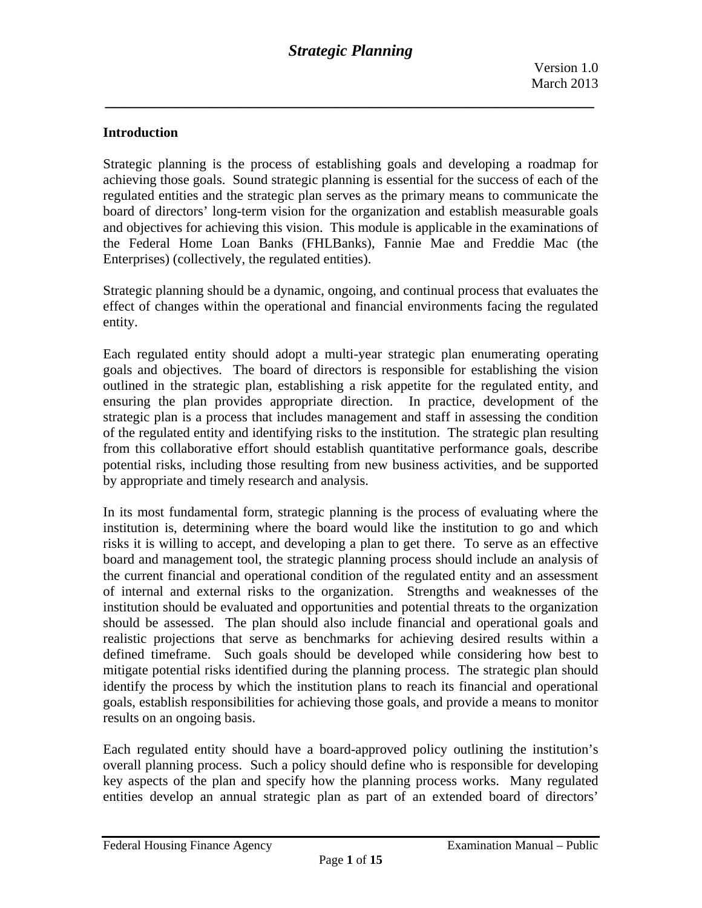## **Introduction**

Strategic planning is the process of establishing goals and developing a roadmap for achieving those goals. Sound strategic planning is essential for the success of each of the regulated entities and the strategic plan serves as the primary means to communicate the board of directors' long-term vision for the organization and establish measurable goals and objectives for achieving this vision. This module is applicable in the examinations of the Federal Home Loan Banks (FHLBanks), Fannie Mae and Freddie Mac (the Enterprises) (collectively, the regulated entities).

Strategic planning should be a dynamic, ongoing, and continual process that evaluates the effect of changes within the operational and financial environments facing the regulated entity.

Each regulated entity should adopt a multi-year strategic plan enumerating operating goals and objectives. The board of directors is responsible for establishing the vision outlined in the strategic plan, establishing a risk appetite for the regulated entity, and ensuring the plan provides appropriate direction. In practice, development of the strategic plan is a process that includes management and staff in assessing the condition of the regulated entity and identifying risks to the institution. The strategic plan resulting from this collaborative effort should establish quantitative performance goals, describe potential risks, including those resulting from new business activities, and be supported by appropriate and timely research and analysis.

In its most fundamental form, strategic planning is the process of evaluating where the institution is, determining where the board would like the institution to go and which risks it is willing to accept, and developing a plan to get there. To serve as an effective board and management tool, the strategic planning process should include an analysis of the current financial and operational condition of the regulated entity and an assessment of internal and external risks to the organization. Strengths and weaknesses of the institution should be evaluated and opportunities and potential threats to the organization should be assessed. The plan should also include financial and operational goals and realistic projections that serve as benchmarks for achieving desired results within a defined timeframe. Such goals should be developed while considering how best to mitigate potential risks identified during the planning process. The strategic plan should identify the process by which the institution plans to reach its financial and operational goals, establish responsibilities for achieving those goals, and provide a means to monitor results on an ongoing basis.

Each regulated entity should have a board-approved policy outlining the institution's overall planning process. Such a policy should define who is responsible for developing key aspects of the plan and specify how the planning process works. Many regulated entities develop an annual strategic plan as part of an extended board of directors'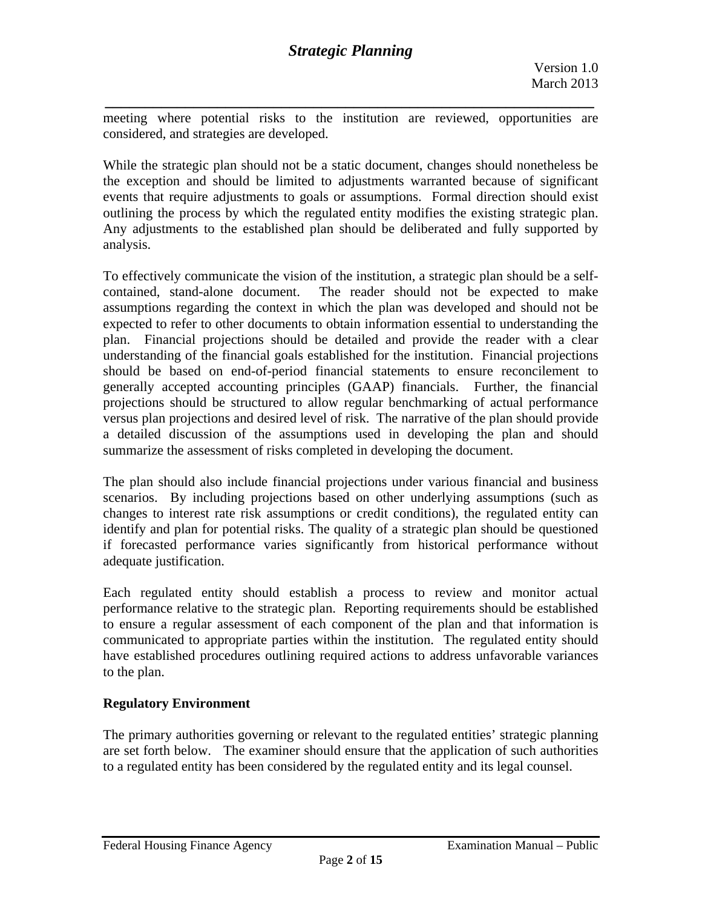*\_\_\_\_\_\_\_\_\_\_\_\_\_\_\_\_\_\_\_\_\_\_\_\_\_\_\_\_\_\_\_\_\_\_\_\_\_\_\_\_\_\_\_\_\_\_\_\_\_\_\_\_\_\_\_\_\_\_\_\_\_*  meeting where potential risks to the institution are reviewed, opportunities are considered, and strategies are developed.

While the strategic plan should not be a static document, changes should nonetheless be the exception and should be limited to adjustments warranted because of significant events that require adjustments to goals or assumptions. Formal direction should exist outlining the process by which the regulated entity modifies the existing strategic plan. Any adjustments to the established plan should be deliberated and fully supported by analysis.

To effectively communicate the vision of the institution, a strategic plan should be a selfcontained, stand-alone document. The reader should not be expected to make assumptions regarding the context in which the plan was developed and should not be expected to refer to other documents to obtain information essential to understanding the plan. Financial projections should be detailed and provide the reader with a clear understanding of the financial goals established for the institution. Financial projections should be based on end-of-period financial statements to ensure reconcilement to generally accepted accounting principles (GAAP) financials. Further, the financial projections should be structured to allow regular benchmarking of actual performance versus plan projections and desired level of risk. The narrative of the plan should provide a detailed discussion of the assumptions used in developing the plan and should summarize the assessment of risks completed in developing the document.

The plan should also include financial projections under various financial and business scenarios. By including projections based on other underlying assumptions (such as changes to interest rate risk assumptions or credit conditions), the regulated entity can identify and plan for potential risks. The quality of a strategic plan should be questioned if forecasted performance varies significantly from historical performance without adequate justification.

Each regulated entity should establish a process to review and monitor actual performance relative to the strategic plan. Reporting requirements should be established to ensure a regular assessment of each component of the plan and that information is communicated to appropriate parties within the institution. The regulated entity should have established procedures outlining required actions to address unfavorable variances to the plan.

## **Regulatory Environment**

The primary authorities governing or relevant to the regulated entities' strategic planning are set forth below. The examiner should ensure that the application of such authorities to a regulated entity has been considered by the regulated entity and its legal counsel.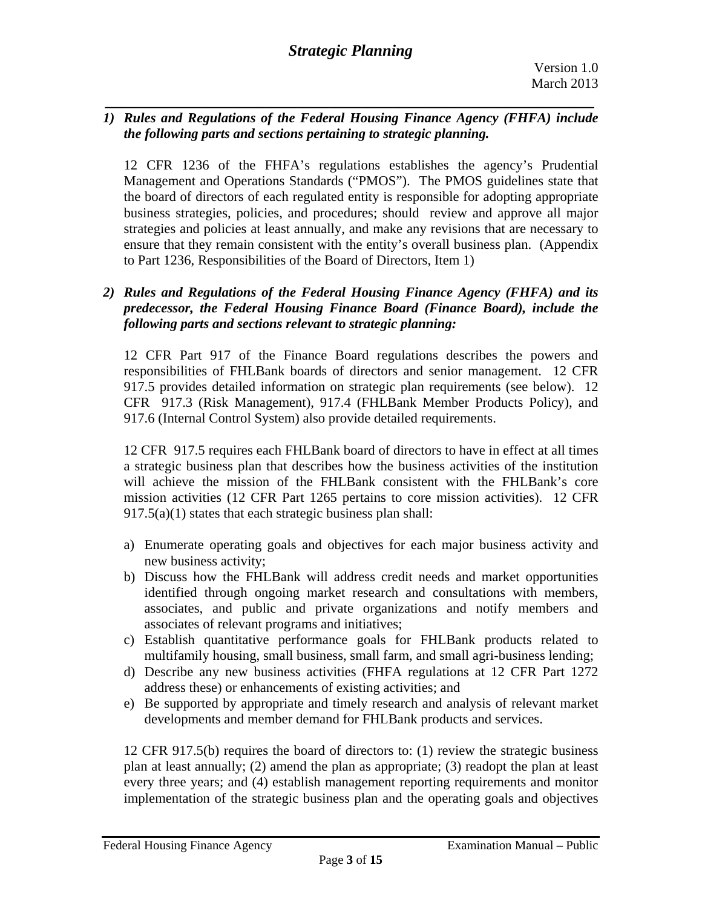*1) Rules and Regulations of the Federal Housing Finance Agency (FHFA) include the following parts and sections pertaining to strategic planning.* 

*\_\_\_\_\_\_\_\_\_\_\_\_\_\_\_\_\_\_\_\_\_\_\_\_\_\_\_\_\_\_\_\_\_\_\_\_\_\_\_\_\_\_\_\_\_\_\_\_\_\_\_\_\_\_\_\_\_\_\_\_\_* 

12 CFR 1236 of the FHFA's regulations establishes the agency's Prudential Management and Operations Standards ("PMOS"). The PMOS guidelines state that the board of directors of each regulated entity is responsible for adopting appropriate business strategies, policies, and procedures; should review and approve all major strategies and policies at least annually, and make any revisions that are necessary to ensure that they remain consistent with the entity's overall business plan. (Appendix to Part 1236, Responsibilities of the Board of Directors, Item 1)

## *2) Rules and Regulations of the Federal Housing Finance Agency (FHFA) and its predecessor, the Federal Housing Finance Board (Finance Board), include the following parts and sections relevant to strategic planning:*

12 CFR Part 917 of the Finance Board regulations describes the powers and responsibilities of FHLBank boards of directors and senior management. 12 CFR 917.5 provides detailed information on strategic plan requirements (see below). 12 CFR 917.3 (Risk Management), 917.4 (FHLBank Member Products Policy), and 917.6 (Internal Control System) also provide detailed requirements.

12 CFR 917.5 requires each FHLBank board of directors to have in effect at all times a strategic business plan that describes how the business activities of the institution will achieve the mission of the FHLBank consistent with the FHLBank's core mission activities (12 CFR Part 1265 pertains to core mission activities). 12 CFR 917.5(a)(1) states that each strategic business plan shall:

- a) Enumerate operating goals and objectives for each major business activity and new business activity;
- b) Discuss how the FHLBank will address credit needs and market opportunities identified through ongoing market research and consultations with members, associates, and public and private organizations and notify members and associates of relevant programs and initiatives;
- c) Establish quantitative performance goals for FHLBank products related to multifamily housing, small business, small farm, and small agri-business lending;
- d) Describe any new business activities (FHFA regulations at 12 CFR Part 1272 address these) or enhancements of existing activities; and
- e) Be supported by appropriate and timely research and analysis of relevant market developments and member demand for FHLBank products and services.

12 CFR 917.5(b) requires the board of directors to: (1) review the strategic business plan at least annually; (2) amend the plan as appropriate; (3) readopt the plan at least every three years; and (4) establish management reporting requirements and monitor implementation of the strategic business plan and the operating goals and objectives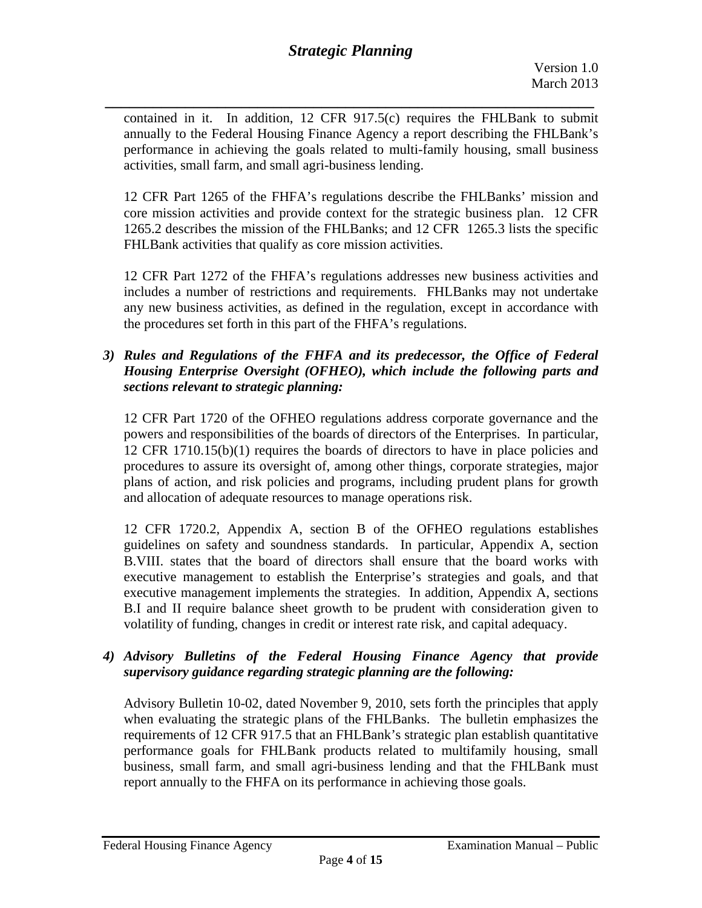*\_\_\_\_\_\_\_\_\_\_\_\_\_\_\_\_\_\_\_\_\_\_\_\_\_\_\_\_\_\_\_\_\_\_\_\_\_\_\_\_\_\_\_\_\_\_\_\_\_\_\_\_\_\_\_\_\_\_\_\_\_*  contained in it. In addition, 12 CFR 917.5(c) requires the FHLBank to submit annually to the Federal Housing Finance Agency a report describing the FHLBank's performance in achieving the goals related to multi-family housing, small business activities, small farm, and small agri-business lending.

12 CFR Part 1265 of the FHFA's regulations describe the FHLBanks' mission and core mission activities and provide context for the strategic business plan. 12 CFR 1265.2 describes the mission of the FHLBanks; and 12 CFR 1265.3 lists the specific FHLBank activities that qualify as core mission activities.

12 CFR Part 1272 of the FHFA's regulations addresses new business activities and includes a number of restrictions and requirements. FHLBanks may not undertake any new business activities, as defined in the regulation, except in accordance with the procedures set forth in this part of the FHFA's regulations.

## *3) Rules and Regulations of the FHFA and its predecessor, the Office of Federal Housing Enterprise Oversight (OFHEO), which include the following parts and sections relevant to strategic planning:*

12 CFR Part 1720 of the OFHEO regulations address corporate governance and the powers and responsibilities of the boards of directors of the Enterprises. In particular, 12 CFR 1710.15(b)(1) requires the boards of directors to have in place policies and procedures to assure its oversight of, among other things, corporate strategies, major plans of action, and risk policies and programs, including prudent plans for growth and allocation of adequate resources to manage operations risk.

12 CFR 1720.2, Appendix A, section B of the OFHEO regulations establishes guidelines on safety and soundness standards. In particular, Appendix A, section B.VIII. states that the board of directors shall ensure that the board works with executive management to establish the Enterprise's strategies and goals, and that executive management implements the strategies. In addition, Appendix A, sections B.I and II require balance sheet growth to be prudent with consideration given to volatility of funding, changes in credit or interest rate risk, and capital adequacy.

# *4) Advisory Bulletins of the Federal Housing Finance Agency that provide supervisory guidance regarding strategic planning are the following:*

Advisory Bulletin 10-02, dated November 9, 2010, sets forth the principles that apply when evaluating the strategic plans of the FHLBanks. The bulletin emphasizes the requirements of 12 CFR 917.5 that an FHLBank's strategic plan establish quantitative performance goals for FHLBank products related to multifamily housing, small business, small farm, and small agri-business lending and that the FHLBank must report annually to the FHFA on its performance in achieving those goals.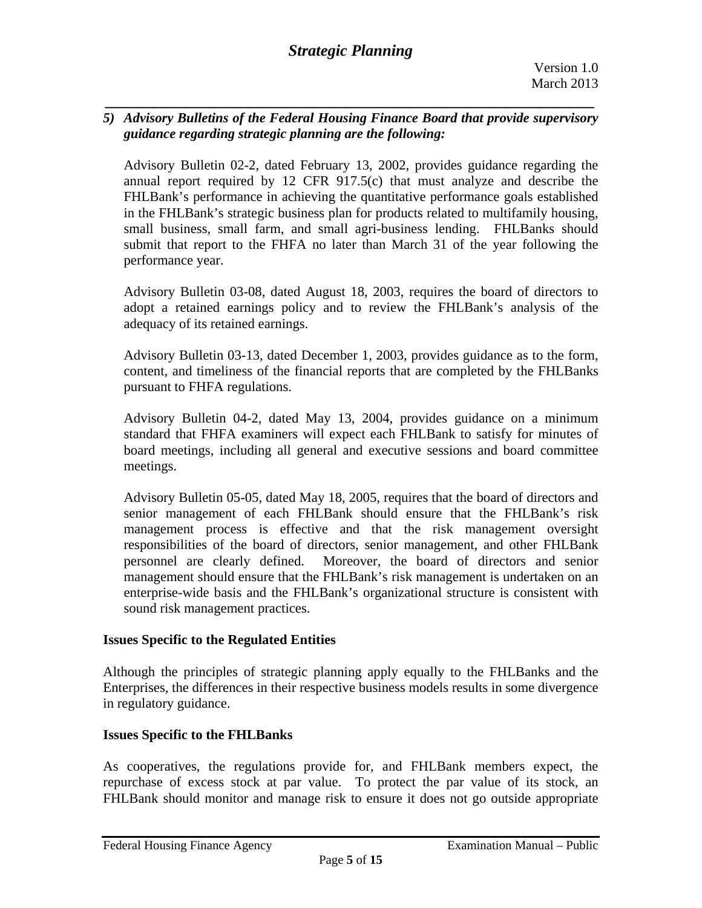## *5) Advisory Bulletins of the Federal Housing Finance Board that provide supervisory guidance regarding strategic planning are the following:*

*\_\_\_\_\_\_\_\_\_\_\_\_\_\_\_\_\_\_\_\_\_\_\_\_\_\_\_\_\_\_\_\_\_\_\_\_\_\_\_\_\_\_\_\_\_\_\_\_\_\_\_\_\_\_\_\_\_\_\_\_\_* 

Advisory Bulletin 02-2, dated February 13, 2002, provides guidance regarding the annual report required by 12 CFR 917.5(c) that must analyze and describe the FHLBank's performance in achieving the quantitative performance goals established in the FHLBank's strategic business plan for products related to multifamily housing, small business, small farm, and small agri-business lending. FHLBanks should submit that report to the FHFA no later than March 31 of the year following the performance year.

Advisory Bulletin 03-08, dated August 18, 2003, requires the board of directors to adopt a retained earnings policy and to review the FHLBank's analysis of the adequacy of its retained earnings.

Advisory Bulletin 03-13, dated December 1, 2003, provides guidance as to the form, content, and timeliness of the financial reports that are completed by the FHLBanks pursuant to FHFA regulations.

Advisory Bulletin 04-2, dated May 13, 2004, provides guidance on a minimum standard that FHFA examiners will expect each FHLBank to satisfy for minutes of board meetings, including all general and executive sessions and board committee meetings.

Advisory Bulletin 05-05, dated May 18, 2005, requires that the board of directors and senior management of each FHLBank should ensure that the FHLBank's risk management process is effective and that the risk management oversight responsibilities of the board of directors, senior management, and other FHLBank personnel are clearly defined. Moreover, the board of directors and senior management should ensure that the FHLBank's risk management is undertaken on an enterprise-wide basis and the FHLBank's organizational structure is consistent with sound risk management practices.

## **Issues Specific to the Regulated Entities**

Although the principles of strategic planning apply equally to the FHLBanks and the Enterprises, the differences in their respective business models results in some divergence in regulatory guidance.

## **Issues Specific to the FHLBanks**

As cooperatives, the regulations provide for, and FHLBank members expect, the repurchase of excess stock at par value. To protect the par value of its stock, an FHLBank should monitor and manage risk to ensure it does not go outside appropriate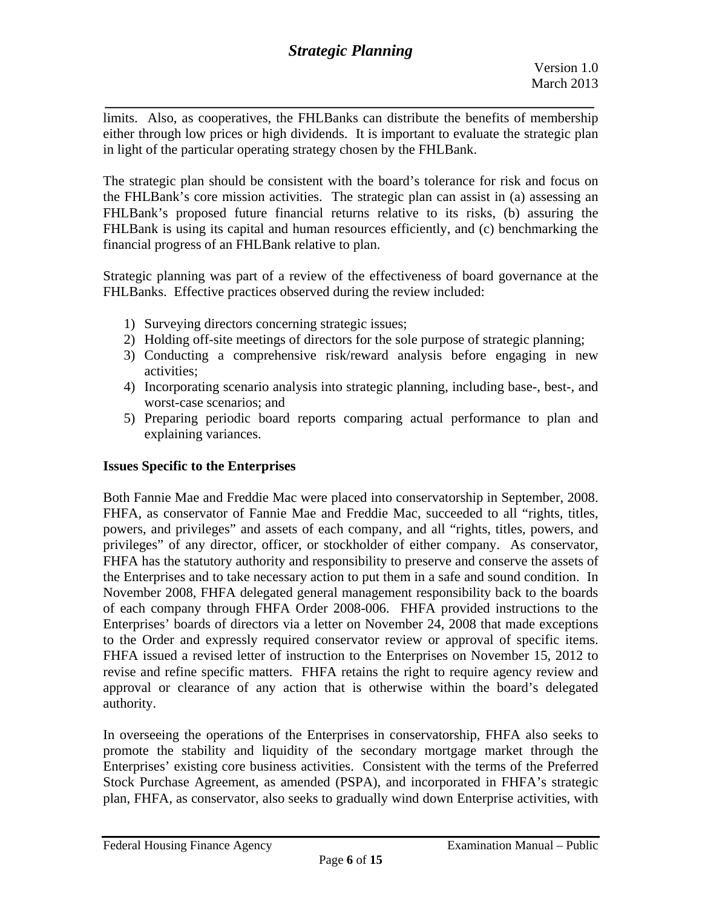*\_\_\_\_\_\_\_\_\_\_\_\_\_\_\_\_\_\_\_\_\_\_\_\_\_\_\_\_\_\_\_\_\_\_\_\_\_\_\_\_\_\_\_\_\_\_\_\_\_\_\_\_\_\_\_\_\_\_\_\_\_*  limits. Also, as cooperatives, the FHLBanks can distribute the benefits of membership either through low prices or high dividends. It is important to evaluate the strategic plan in light of the particular operating strategy chosen by the FHLBank.

The strategic plan should be consistent with the board's tolerance for risk and focus on the FHLBank's core mission activities. The strategic plan can assist in (a) assessing an FHLBank's proposed future financial returns relative to its risks, (b) assuring the FHLBank is using its capital and human resources efficiently, and (c) benchmarking the financial progress of an FHLBank relative to plan.

Strategic planning was part of a review of the effectiveness of board governance at the FHLBanks. Effective practices observed during the review included:

- 1) Surveying directors concerning strategic issues;
- 2) Holding off-site meetings of directors for the sole purpose of strategic planning;
- 3) Conducting a comprehensive risk/reward analysis before engaging in new activities;
- 4) Incorporating scenario analysis into strategic planning, including base-, best-, and worst-case scenarios; and
- 5) Preparing periodic board reports comparing actual performance to plan and explaining variances.

# **Issues Specific to the Enterprises**

Both Fannie Mae and Freddie Mac were placed into conservatorship in September, 2008. FHFA, as conservator of Fannie Mae and Freddie Mac, succeeded to all "rights, titles, powers, and privileges" and assets of each company, and all "rights, titles, powers, and privileges" of any director, officer, or stockholder of either company. As conservator, FHFA has the statutory authority and responsibility to preserve and conserve the assets of the Enterprises and to take necessary action to put them in a safe and sound condition. In November 2008, FHFA delegated general management responsibility back to the boards of each company through FHFA Order 2008-006. FHFA provided instructions to the Enterprises' boards of directors via a letter on November 24, 2008 that made exceptions to the Order and expressly required conservator review or approval of specific items. FHFA issued a revised letter of instruction to the Enterprises on November 15, 2012 to revise and refine specific matters. FHFA retains the right to require agency review and approval or clearance of any action that is otherwise within the board's delegated authority.

In overseeing the operations of the Enterprises in conservatorship, FHFA also seeks to promote the stability and liquidity of the secondary mortgage market through the Enterprises' existing core business activities. Consistent with the terms of the Preferred Stock Purchase Agreement, as amended (PSPA), and incorporated in FHFA's strategic plan, FHFA, as conservator, also seeks to gradually wind down Enterprise activities, with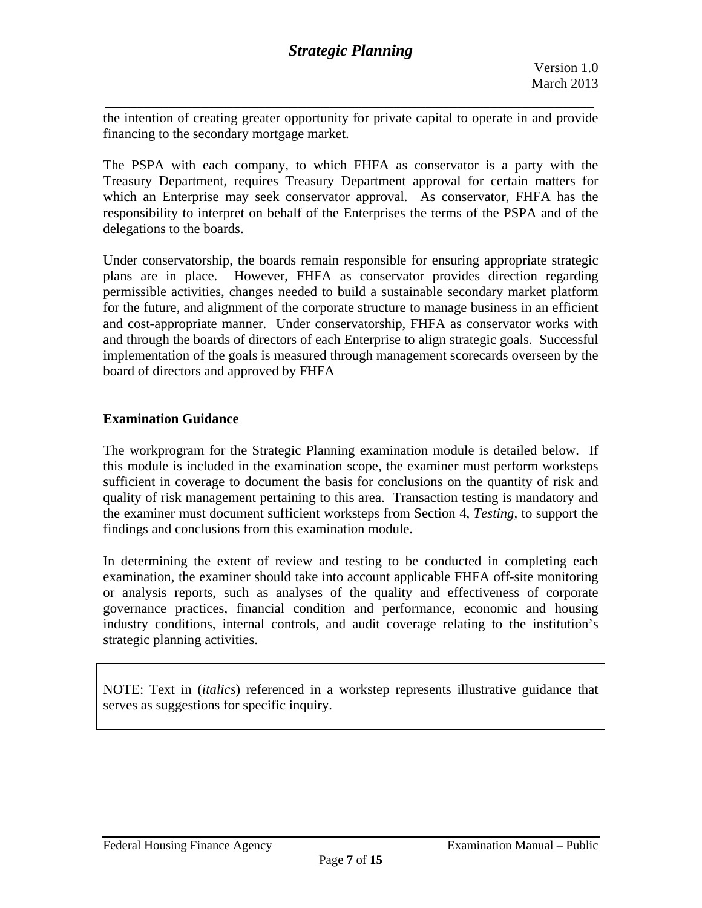*\_\_\_\_\_\_\_\_\_\_\_\_\_\_\_\_\_\_\_\_\_\_\_\_\_\_\_\_\_\_\_\_\_\_\_\_\_\_\_\_\_\_\_\_\_\_\_\_\_\_\_\_\_\_\_\_\_\_\_\_\_*  the intention of creating greater opportunity for private capital to operate in and provide financing to the secondary mortgage market.

The PSPA with each company, to which FHFA as conservator is a party with the Treasury Department, requires Treasury Department approval for certain matters for which an Enterprise may seek conservator approval. As conservator, FHFA has the responsibility to interpret on behalf of the Enterprises the terms of the PSPA and of the delegations to the boards.

Under conservatorship, the boards remain responsible for ensuring appropriate strategic plans are in place. However, FHFA as conservator provides direction regarding permissible activities, changes needed to build a sustainable secondary market platform for the future, and alignment of the corporate structure to manage business in an efficient and cost-appropriate manner. Under conservatorship, FHFA as conservator works with and through the boards of directors of each Enterprise to align strategic goals. Successful implementation of the goals is measured through management scorecards overseen by the board of directors and approved by FHFA

#### **Examination Guidance**

The workprogram for the Strategic Planning examination module is detailed below. If this module is included in the examination scope, the examiner must perform worksteps sufficient in coverage to document the basis for conclusions on the quantity of risk and quality of risk management pertaining to this area. Transaction testing is mandatory and the examiner must document sufficient worksteps from Section 4, *Testing,* to support the findings and conclusions from this examination module.

In determining the extent of review and testing to be conducted in completing each examination, the examiner should take into account applicable FHFA off-site monitoring or analysis reports, such as analyses of the quality and effectiveness of corporate governance practices, financial condition and performance, economic and housing industry conditions, internal controls, and audit coverage relating to the institution's strategic planning activities.

NOTE: Text in (*italics*) referenced in a workstep represents illustrative guidance that serves as suggestions for specific inquiry.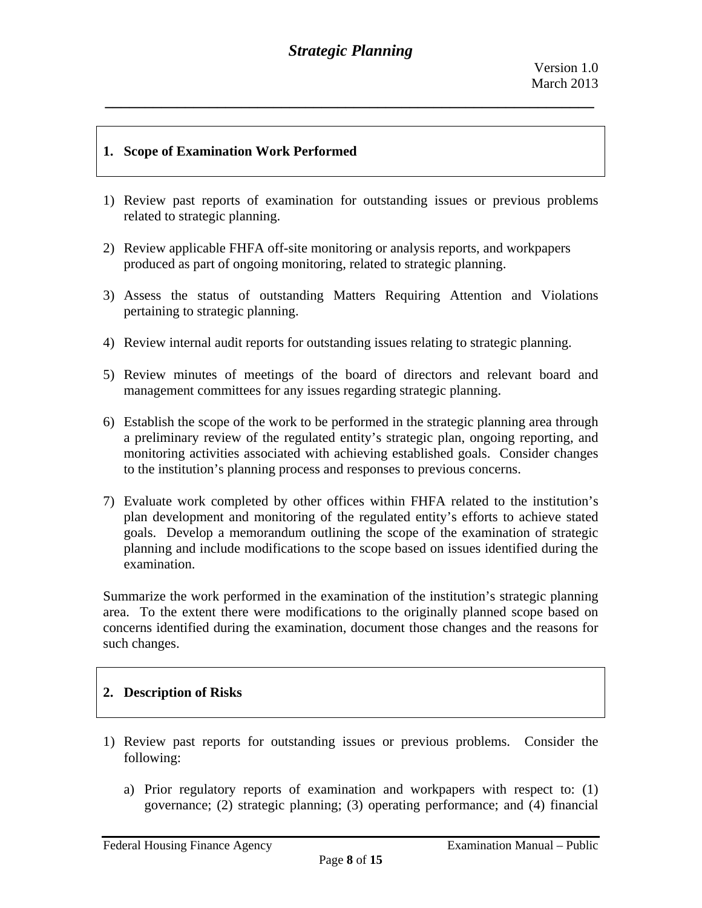## **1. Scope of Examination Work Performed**

- 1) Review past reports of examination for outstanding issues or previous problems related to strategic planning.
- 2) Review applicable FHFA off-site monitoring or analysis reports, and workpapers produced as part of ongoing monitoring, related to strategic planning.
- 3) Assess the status of outstanding Matters Requiring Attention and Violations pertaining to strategic planning.
- 4) Review internal audit reports for outstanding issues relating to strategic planning.
- 5) Review minutes of meetings of the board of directors and relevant board and management committees for any issues regarding strategic planning.
- 6) Establish the scope of the work to be performed in the strategic planning area through a preliminary review of the regulated entity's strategic plan, ongoing reporting, and monitoring activities associated with achieving established goals. Consider changes to the institution's planning process and responses to previous concerns.
- 7) Evaluate work completed by other offices within FHFA related to the institution's plan development and monitoring of the regulated entity's efforts to achieve stated goals. Develop a memorandum outlining the scope of the examination of strategic planning and include modifications to the scope based on issues identified during the examination.

Summarize the work performed in the examination of the institution's strategic planning area. To the extent there were modifications to the originally planned scope based on concerns identified during the examination, document those changes and the reasons for such changes.

## **2. Description of Risks**

- 1) Review past reports for outstanding issues or previous problems. Consider the following:
	- a) Prior regulatory reports of examination and workpapers with respect to: (1) governance; (2) strategic planning; (3) operating performance; and (4) financial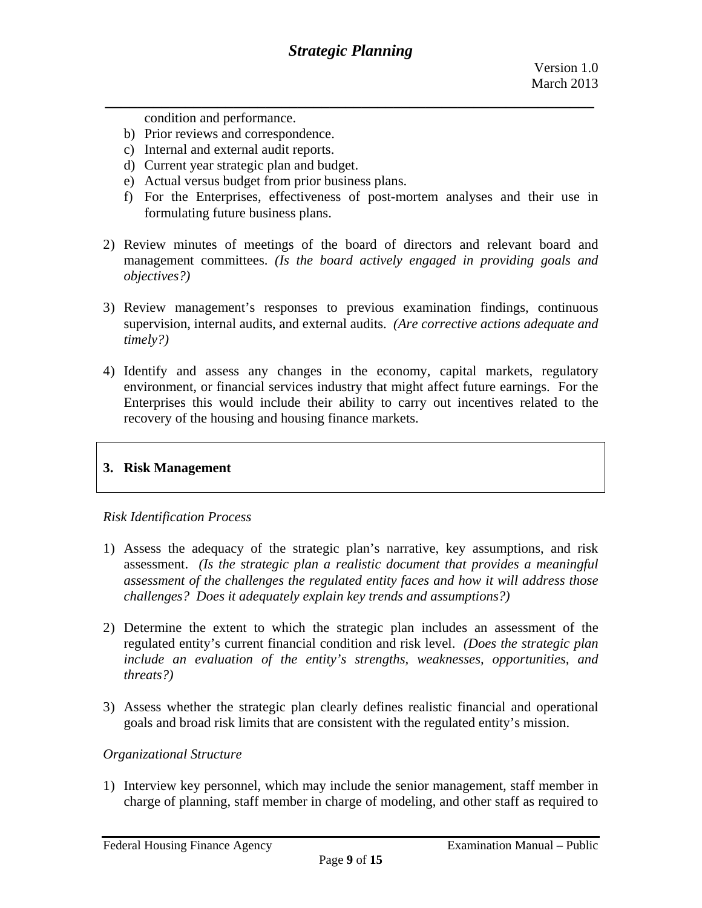condition and performance.

- b) Prior reviews and correspondence.
- c) Internal and external audit reports.
- d) Current year strategic plan and budget.
- e) Actual versus budget from prior business plans.
- f) For the Enterprises, effectiveness of post-mortem analyses and their use in formulating future business plans.
- 2) Review minutes of meetings of the board of directors and relevant board and management committees. *(Is the board actively engaged in providing goals and objectives?)*
- 3) Review management's responses to previous examination findings, continuous supervision, internal audits, and external audits. *(Are corrective actions adequate and timely?)*
- 4) Identify and assess any changes in the economy, capital markets, regulatory environment, or financial services industry that might affect future earnings. For the Enterprises this would include their ability to carry out incentives related to the recovery of the housing and housing finance markets.

## **3. Risk Management**

#### *Risk Identification Process*

- 1) Assess the adequacy of the strategic plan's narrative, key assumptions, and risk assessment. *(Is the strategic plan a realistic document that provides a meaningful assessment of the challenges the regulated entity faces and how it will address those challenges? Does it adequately explain key trends and assumptions?)*
- 2) Determine the extent to which the strategic plan includes an assessment of the regulated entity's current financial condition and risk level. *(Does the strategic plan include an evaluation of the entity's strengths, weaknesses, opportunities, and threats?)*
- 3) Assess whether the strategic plan clearly defines realistic financial and operational goals and broad risk limits that are consistent with the regulated entity's mission.

#### *Organizational Structure*

1) Interview key personnel, which may include the senior management, staff member in charge of planning, staff member in charge of modeling, and other staff as required to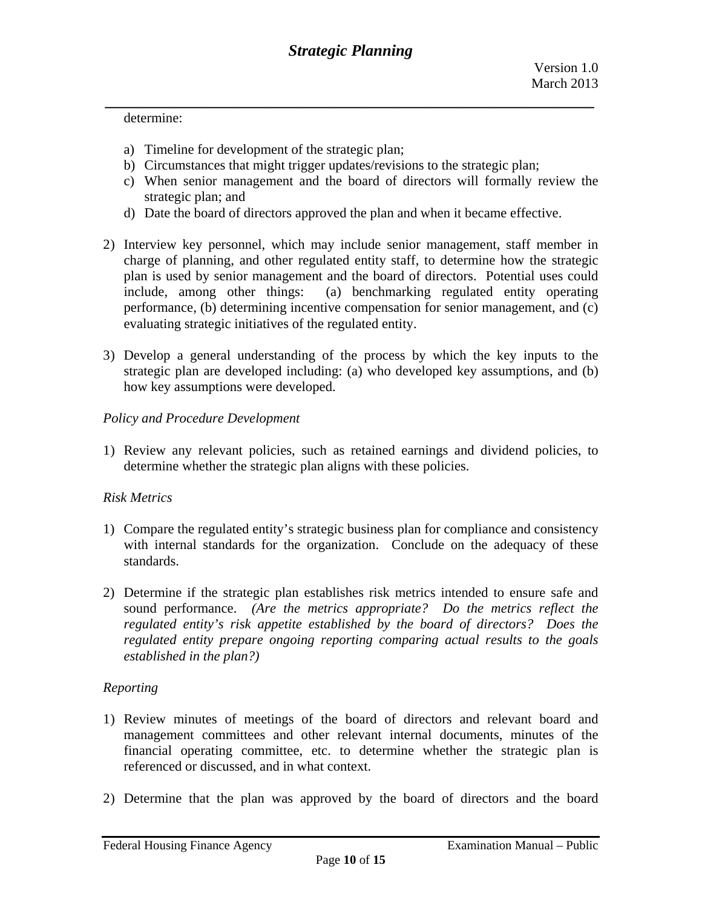determine:

- a) Timeline for development of the strategic plan;
- b) Circumstances that might trigger updates/revisions to the strategic plan;
- c) When senior management and the board of directors will formally review the strategic plan; and
- d) Date the board of directors approved the plan and when it became effective.
- 2) Interview key personnel, which may include senior management, staff member in charge of planning, and other regulated entity staff, to determine how the strategic plan is used by senior management and the board of directors. Potential uses could include, among other things: (a) benchmarking regulated entity operating performance, (b) determining incentive compensation for senior management, and (c) evaluating strategic initiatives of the regulated entity.
- 3) Develop a general understanding of the process by which the key inputs to the strategic plan are developed including: (a) who developed key assumptions, and (b) how key assumptions were developed.

#### *Policy and Procedure Development*

1) Review any relevant policies, such as retained earnings and dividend policies, to determine whether the strategic plan aligns with these policies.

## *Risk Metrics*

- 1) Compare the regulated entity's strategic business plan for compliance and consistency with internal standards for the organization. Conclude on the adequacy of these standards.
- *established in the plan?) Reporting*  2) Determine if the strategic plan establishes risk metrics intended to ensure safe and sound performance. *(Are the metrics appropriate? Do the metrics reflect the regulated entity's risk appetite established by the board of directors? Does the regulated entity prepare ongoing reporting comparing actual results to the goals*

- 1) Review minutes of meetings of the board of directors and relevant board and management committees and other relevant internal documents, minutes of the financial operating committee, etc. to determine whether the strategic plan is referenced or discussed, and in what context.
- 2) Determine that the plan was approved by the board of directors and the board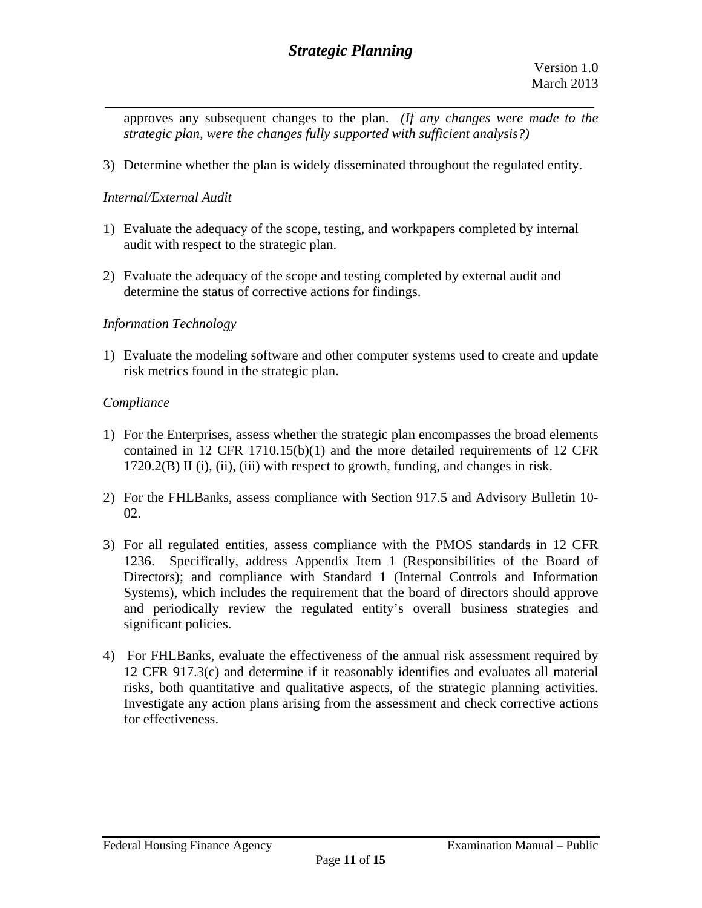*\_\_\_\_\_\_\_\_\_\_\_\_\_\_\_\_\_\_\_\_\_\_\_\_\_\_\_\_\_\_\_\_\_\_\_\_\_\_\_\_\_\_\_\_\_\_\_\_\_\_\_\_\_\_\_\_\_\_\_\_\_*  approves any subsequent changes to the plan. *(If any changes were made to the strategic plan, were the changes fully supported with sufficient analysis?)* 

3) Determine whether the plan is widely disseminated throughout the regulated entity.

## *Internal/External Audit*

- 1) Evaluate the adequacy of the scope, testing, and workpapers completed by internal audit with respect to the strategic plan.
- 2) Evaluate the adequacy of the scope and testing completed by external audit and determine the status of corrective actions for findings.

## *Information Technology*

1) Evaluate the modeling software and other computer systems used to create and update risk metrics found in the strategic plan.

## *Compliance*

- 1) For the Enterprises, assess whether the strategic plan encompasses the broad elements contained in 12 CFR 1710.15(b)(1) and the more detailed requirements of 12 CFR 1720.2(B) II (i), (ii), (iii) with respect to growth, funding, and changes in risk.
- 2) For the FHLBanks, assess compliance with Section 917.5 and Advisory Bulletin 10- 02.
- 3) For all regulated entities, assess compliance with the PMOS standards in 12 CFR 1236. Specifically, address Appendix Item 1 (Responsibilities of the Board of Directors); and compliance with Standard 1 (Internal Controls and Information Systems), which includes the requirement that the board of directors should approve and periodically review the regulated entity's overall business strategies and significant policies.
- risks, both quantitative and qualitative aspects, of the strategic planning activities. 4) For FHLBanks, evaluate the effectiveness of the annual risk assessment required by 12 CFR 917.3(c) and determine if it reasonably identifies and evaluates all material Investigate any action plans arising from the assessment and check corrective actions. for effectiveness.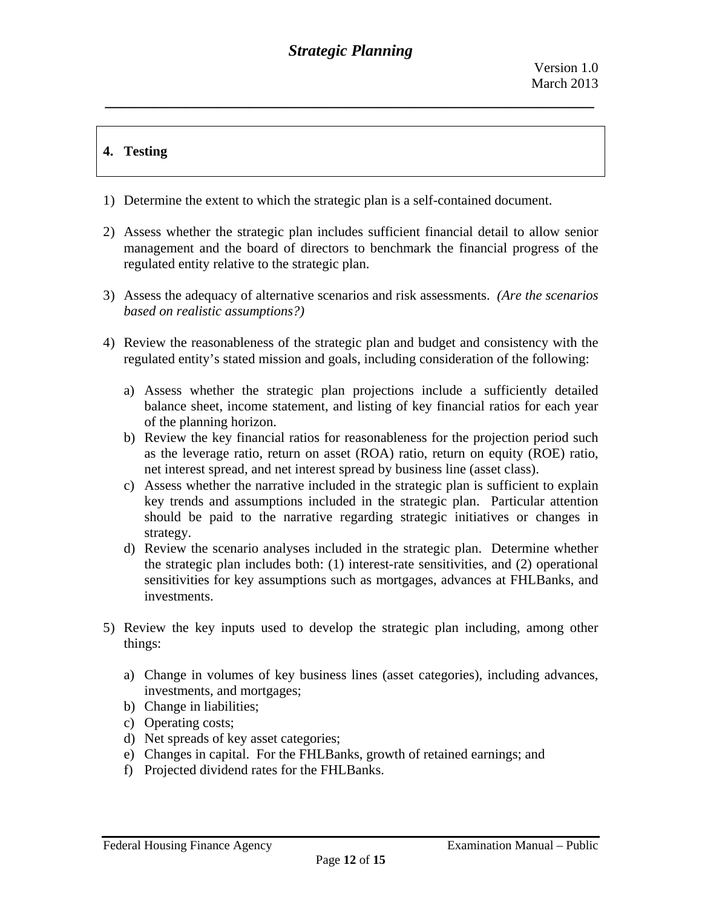# **4. Testing**

- 1) Determine the extent to which the strategic plan is a self-contained document.
- 2) Assess whether the strategic plan includes sufficient financial detail to allow senior management and the board of directors to benchmark the financial progress of the regulated entity relative to the strategic plan.
- 3) Assess the adequacy of alternative scenarios and risk assessments. *(Are the scenarios based on realistic assumptions?)*
- 4) Review the reasonableness of the strategic plan and budget and consistency with the regulated entity's stated mission and goals, including consideration of the following:
	- a) Assess whether the strategic plan projections include a sufficiently detailed balance sheet, income statement, and listing of key financial ratios for each year of the planning horizon.
	- b) Review the key financial ratios for reasonableness for the projection period such as the leverage ratio, return on asset (ROA) ratio, return on equity (ROE) ratio, net interest spread, and net interest spread by business line (asset class).
	- c) Assess whether the narrative included in the strategic plan is sufficient to explain key trends and assumptions included in the strategic plan. Particular attention should be paid to the narrative regarding strategic initiatives or changes in strategy.
	- d) Review the scenario analyses included in the strategic plan. Determine whether the strategic plan includes both: (1) interest-rate sensitivities, and (2) operational sensitivities for key assumptions such as mortgages, advances at FHLBanks, and investments.
- 5) Review the key inputs used to develop the strategic plan including, among other things:
	- a) Change in volumes of key business lines (asset categories), including advances, investments, and mortgages;
	- b) Change in liabilities;
	- c) Operating costs;
	- d) Net spreads of key asset categories;
	- e) Changes in capital. For the FHLBanks, growth of retained earnings; and
	- f) Projected dividend rates for the FHLBanks.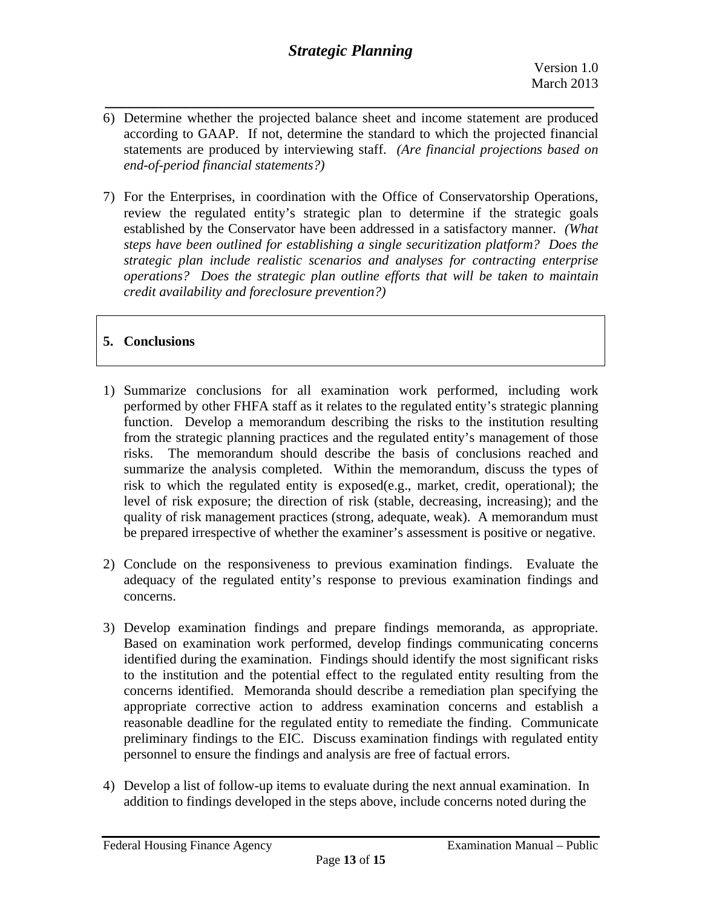- *\_\_\_\_\_\_\_\_\_\_\_\_\_\_\_\_\_\_\_\_\_\_\_\_\_\_\_\_\_\_\_\_\_\_\_\_\_\_\_\_\_\_\_\_\_\_\_\_\_\_\_\_\_\_\_\_\_\_\_\_\_*  6) Determine whether the projected balance sheet and income statement are produced according to GAAP. If not, determine the standard to which the projected financial statements are produced by interviewing staff. *(Are financial projections based on end-of-period financial statements?)*
- *credit availability and foreclosure prevention?)* 7) For the Enterprises, in coordination with the Office of Conservatorship Operations, review the regulated entity's strategic plan to determine if the strategic goals established by the Conservator have been addressed in a satisfactory manner. *(What steps have been outlined for establishing a single securitization platform? Does the strategic plan include realistic scenarios and analyses for contracting enterprise operations? Does the strategic plan outline efforts that will be taken to maintain*

# **5. Conclusions**

- 1) Summarize conclusions for all examination work performed, including work performed by other FHFA staff as it relates to the regulated entity's strategic planning function. Develop a memorandum describing the risks to the institution resulting from the strategic planning practices and the regulated entity's management of those risks. The memorandum should describe the basis of conclusions reached and summarize the analysis completed. Within the memorandum, discuss the types of risk to which the regulated entity is exposed(e.g., market, credit, operational); the level of risk exposure; the direction of risk (stable, decreasing, increasing); and the quality of risk management practices (strong, adequate, weak). A memorandum must be prepared irrespective of whether the examiner's assessment is positive or negative.
- 2) Conclude on the responsiveness to previous examination findings. Evaluate the adequacy of the regulated entity's response to previous examination findings and concerns.
- 3) Develop examination findings and prepare findings memoranda, as appropriate. Based on examination work performed, develop findings communicating concerns identified during the examination. Findings should identify the most significant risks to the institution and the potential effect to the regulated entity resulting from the concerns identified. Memoranda should describe a remediation plan specifying the appropriate corrective action to address examination concerns and establish a reasonable deadline for the regulated entity to remediate the finding. Communicate preliminary findings to the EIC. Discuss examination findings with regulated entity personnel to ensure the findings and analysis are free of factual errors.
- 4) Develop a list of follow-up items to evaluate during the next annual examination. In addition to findings developed in the steps above, include concerns noted during the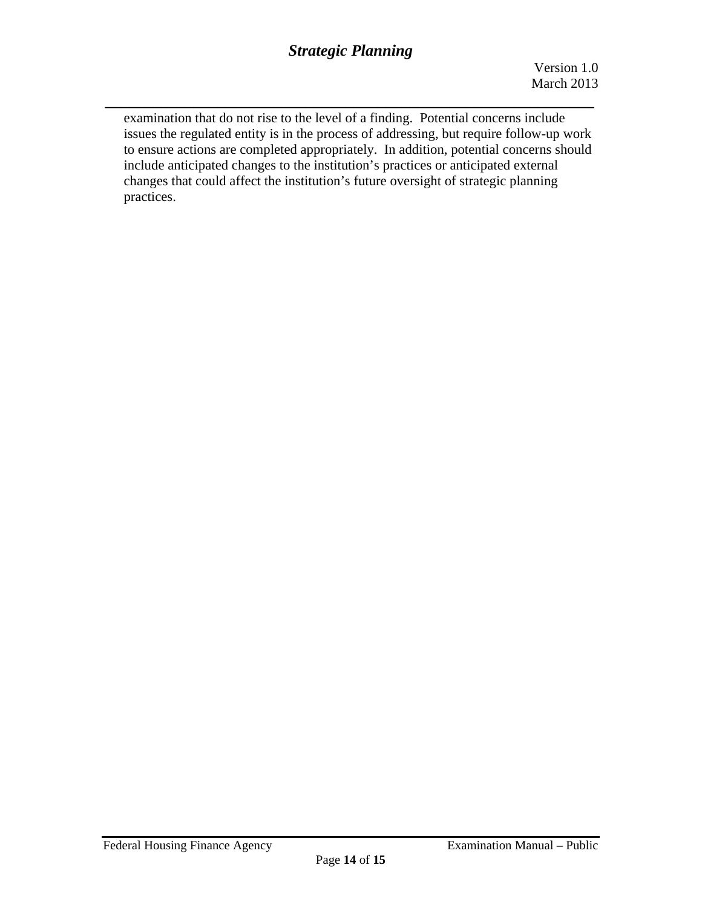*\_\_\_\_\_\_\_\_\_\_\_\_\_\_\_\_\_\_\_\_\_\_\_\_\_\_\_\_\_\_\_\_\_\_\_\_\_\_\_\_\_\_\_\_\_\_\_\_\_\_\_\_\_\_\_\_\_\_\_\_\_* 

examination that do not rise to the level of a finding. Potential concerns include issues the regulated entity is in the process of addressing, but require follow-up work to ensure actions are completed appropriately. In addition, potential concerns should include anticipated changes to the institution's practices or anticipated external changes that could affect the institution's future oversight of strategic planning practices.